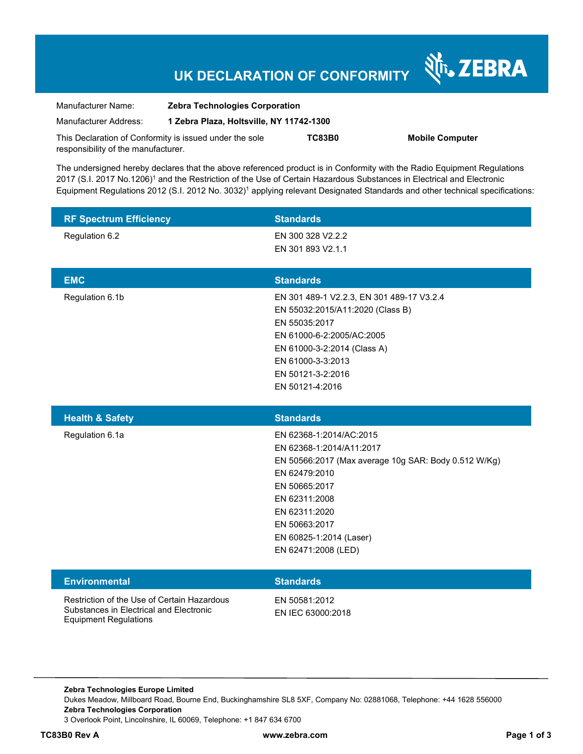# **UK DECLARATION OF CONFORMITY**

Nr. ZEBRA

| Manufacturer Name:                                      | <b>Zebra Technologies Corporation</b><br>1 Zebra Plaza, Holtsville, NY 11742-1300 |               |                        |
|---------------------------------------------------------|-----------------------------------------------------------------------------------|---------------|------------------------|
| Manufacturer Address:                                   |                                                                                   |               |                        |
| This Declaration of Conformity is issued under the sole |                                                                                   | <b>TC83B0</b> | <b>Mobile Computer</b> |
| responsibility of the manufacturer.                     |                                                                                   |               |                        |

The undersigned hereby declares that the above referenced product is in Conformity with the Radio Equipment Regulations 2017 (S.I. 2017 No.1206)<sup>1</sup> and the Restriction of the Use of Certain Hazardous Substances in Electrical and Electronic Equipment Regulations 2012 (S.I. 2012 No. 3032)<sup>1</sup> applying relevant Designated Standards and other technical specifications:

| <b>RF Spectrum Efficiency</b> | <b>Standards</b>                                                                                                                                                                                                        |
|-------------------------------|-------------------------------------------------------------------------------------------------------------------------------------------------------------------------------------------------------------------------|
| Regulation 6.2                | EN 300 328 V2.2.2<br>EN 301 893 V2.1.1                                                                                                                                                                                  |
| <b>EMC</b>                    | <b>Standards</b>                                                                                                                                                                                                        |
| Regulation 6.1b               | EN 301 489-1 V2.2.3, EN 301 489-17 V3.2.4<br>EN 55032:2015/A11:2020 (Class B)<br>EN 55035:2017<br>EN 61000-6-2:2005/AC:2005<br>EN 61000-3-2:2014 (Class A)<br>EN 61000-3-3:2013<br>EN 50121-3-2:2016<br>EN 50121-4:2016 |
| <b>Health &amp; Safety</b>    | <b>Standards</b>                                                                                                                                                                                                        |
| Regulation 6.1a               | EN 62368-1:2014/AC:2015<br>EN 62368-1:2014/A11:2017<br>EN 50566:2017 (Max average 10g SAR: Body 0.512 W/Kg)<br>EN 62479:2010<br>EN 50665:2017<br>EN 62311:2008<br>EN 62311:2020<br>EN 50663:2017                        |
|                               | EN 60825-1:2014 (Laser)<br>EN 62471:2008 (LED)                                                                                                                                                                          |
| <b>Environmental</b>          | <b>Standards</b>                                                                                                                                                                                                        |

**Zebra Technologies Europe Limited**  Dukes Meadow, Millboard Road, Bourne End, Buckinghamshire SL8 5XF, Company No: 02881068, Telephone: +44 1628 556000 **Zebra Technologies Corporation**  3 Overlook Point, Lincolnshire, IL 60069, Telephone: +1 847 634 6700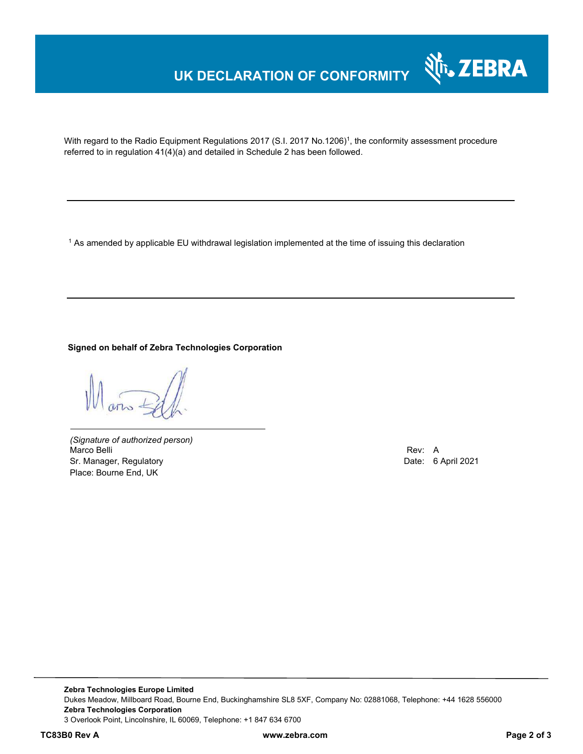# **UK DECLARATION OF CONFORMITY**



With regard to the Radio Equipment Regulations 2017 (S.I. 2017 No.1206)<sup>1</sup>, the conformity assessment procedure referred to in regulation 41(4)(a) and detailed in Schedule 2 has been followed.

 $^{\rm 1}$  As amended by applicable EU withdrawal legislation implemented at the time of issuing this declaration

#### **Signed on behalf of Zebra Technologies Corporation**

*(Signature of authorized person)* Marco Belli Rev: A Sr. Manager, Regulatory Date: 6 April 2021 Place: Bourne End, UK

**Zebra Technologies Europe Limited**  Dukes Meadow, Millboard Road, Bourne End, Buckinghamshire SL8 5XF, Company No: 02881068, Telephone: +44 1628 556000 **Zebra Technologies Corporation**  3 Overlook Point, Lincolnshire, IL 60069, Telephone: +1 847 634 6700